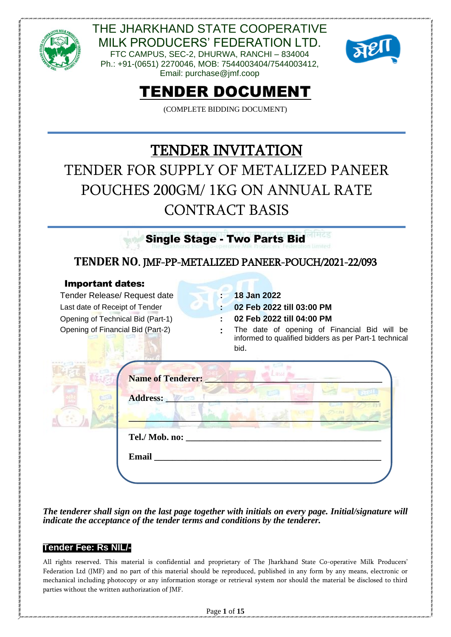

Email: purchase@jmf.coop



# TENDER DOCUMENT

(COMPLETE BIDDING DOCUMENT)

# TENDER INVITATION TENDER FOR SUPPLY OF METALIZED PANEER POUCHES 200GM/ 1KG ON ANNUAL RATE CONTRACT BASIS

Single Stage - Two Parts Bid

## **TENDER NO**. JMF-PP-METALIZED PANEER-POUCH/2021-22/093

#### Important dates:

Tender Release/ Request date **: 18 Jan 2022** Last date of Receipt of Tender **: 02 Feb 2022 till 03:00 PM** Opening of Technical Bid (Part-1) **: 02 Feb 2022 till 04:00 PM**

Opening of Financial Bid (Part-2) **:** The date of opening of Financial Bid will be informed to qualified bidders as per Part-1 technical bid.

| <b>Name of Tenderer:</b> |
|--------------------------|
| Address:                 |
| Tel./ Mob. no: ____      |
| Email                    |

*The tenderer shall sign on the last page together with initials on every page. Initial/signature will indicate the acceptance of the tender terms and conditions by the tenderer.*

#### **Tender Fee: Rs NIL/-**

All rights reserved. This material is confidential and proprietary of The Jharkhand State Co-operative Milk Producers' Federation Ltd (JMF) and no part of this material should be reproduced, published in any form by any means, electronic or mechanical including photocopy or any information storage or retrieval system nor should the material be disclosed to third parties without the written authorization of JMF.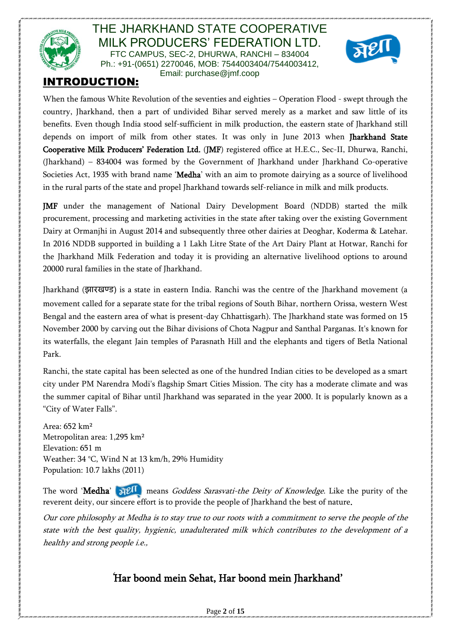



# INTRODUCTION:

When the famous White Revolution of the seventies and eighties – Operation Flood - swept through the country, Jharkhand, then a part of undivided Bihar served merely as a market and saw little of its benefits. Even though India stood self-sufficient in milk production, the eastern state of Jharkhand still depends on import of milk from other states. It was only in June 2013 when Jharkhand State Cooperative Milk Producers' Federation Ltd. (JMF) registered office at H.E.C., Sec-II, Dhurwa, Ranchi, (Jharkhand) – 834004 was formed by the Government of Jharkhand under Jharkhand Co-operative Societies Act, 1935 with brand name 'Medha' with an aim to promote dairying as a source of livelihood in the rural parts of the state and propel Jharkhand towards self-reliance in milk and milk products.

JMF under the management of National Dairy Development Board (NDDB) started the milk procurement, processing and marketing activities in the state after taking over the existing Government Dairy at Ormanjhi in August 2014 and subsequently three other dairies at Deoghar, Koderma & Latehar. In 2016 NDDB supported in building a 1 Lakh Litre State of the Art Dairy Plant at Hotwar, Ranchi for the Jharkhand Milk Federation and today it is providing an alternative livelihood options to around 20000 rural families in the state of Jharkhand.

Jharkhand (झारखण्ड) is a state in eastern India. Ranchi was the centre of the Jharkhand movement (a movement called for a separate state for the tribal regions of South Bihar, northern Orissa, western West Bengal and the eastern area of what is present-day Chhattisgarh). The Jharkhand state was formed on 15 November 2000 by carving out the Bihar divisions of Chota Nagpur and Santhal Parganas. It's known for its waterfalls, the elegant Jain temples of Parasnath Hill and the elephants and tigers of Betla National Park.

Ranchi, the state capital has been selected as one of the hundred Indian cities to be developed as a smart city under PM Narendra Modi's flagship Smart Cities Mission. The city has a moderate climate and was the summer capital of Bihar until Jharkhand was separated in the year 2000. It is popularly known as a "City of Water Falls".

Area: 652 km² Metropolitan area: 1,295 km² Elevation: 651 m Weather: 34 °C, Wind N at 13 km/h, 29% Humidity Population: 10.7 lakhs (2011)

The word 'Medha'  $\mathbb{R}^{\mathbb{C}}$  means *Goddess Sarasvati-the Deity of Knowledge*. Like the purity of the reverent deity, our sincere effort is to provide the people of Jharkhand the best of nature.

Our core philosophy at Medha is to stay true to our roots with a commitment to serve the people of the state with the best quality, hygienic, unadulterated milk which contributes to the development of a healthy and strong people i.e.,

# *'*Har boond mein Sehat, Har boond mein Jharkhand'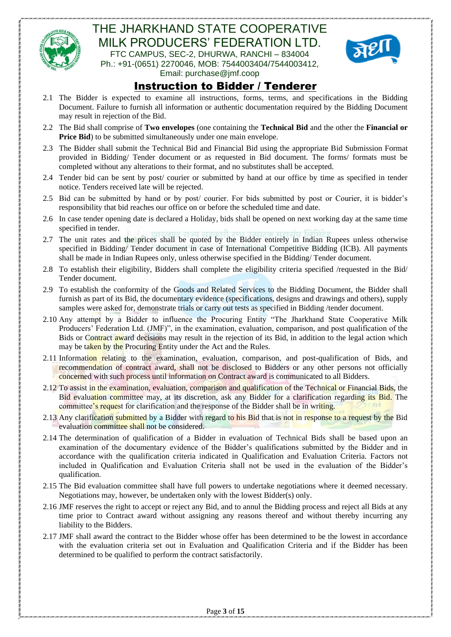



## Instruction to Bidder / Tenderer

- 2.1 The Bidder is expected to examine all instructions, forms, terms, and specifications in the Bidding Document. Failure to furnish all information or authentic documentation required by the Bidding Document may result in rejection of the Bid.
- 2.2 The Bid shall comprise of **Two envelopes** (one containing the **Technical Bid** and the other the **Financial or Price Bid**) to be submitted simultaneously under one main envelope.
- 2.3 The Bidder shall submit the Technical Bid and Financial Bid using the appropriate Bid Submission Format provided in Bidding/ Tender document or as requested in Bid document. The forms/ formats must be completed without any alterations to their format, and no substitutes shall be accepted.
- 2.4 Tender bid can be sent by post/ courier or submitted by hand at our office by time as specified in tender notice. Tenders received late will be rejected.
- 2.5 Bid can be submitted by hand or by post/ courier. For bids submitted by post or Courier, it is bidder's responsibility that bid reaches our office on or before the scheduled time and date.
- 2.6 In case tender opening date is declared a Holiday, bids shall be opened on next working day at the same time specified in tender.
- 2.7 The unit rates and the prices shall be quoted by the Bidder entirely in Indian Rupees unless otherwise specified in Bidding/ Tender document in case of International Competitive Bidding (ICB). All payments shall be made in Indian Rupees only, unless otherwise specified in the Bidding/ Tender document.
- 2.8 To establish their eligibility, Bidders shall complete the eligibility criteria specified /requested in the Bid/ Tender document.
- 2.9 To establish the conformity of the Goods and Related Services to the Bidding Document, the Bidder shall furnish as part of its Bid, the documentary evidence (specifications, designs and drawings and others), supply samples were asked for, demonstrate trials or carry out tests as specified in Bidding /tender document.
- 2.10 Any attempt by a Bidder to influence the Procuring Entity "The Jharkhand State Cooperative Milk Producers' Federation Ltd. (JMF)", in the examination, evaluation, comparison, and post qualification of the Bids or Contract award decisions may result in the rejection of its Bid, in addition to the legal action which may be taken by the Procuring Entity under the Act and the Rules.
- 2.11 Information relating to the examination, evaluation, comparison, and post-qualification of Bids, and recommendation of contract award, shall not be disclosed to Bidders or any other persons not officially concerned with such process until information on Contract award is communicated to all Bidders.
- 2.12 To assist in the examination, evaluation, comparison and qualification of the Technical or Financial Bids, the Bid evaluation committee may, at its discretion, ask any Bidder for a clarification regarding its Bid. The committee's request for clarification and the response of the Bidder shall be in writing.
- 2.13 Any clarification submitted by a Bidder with regard to his Bid that is not in response to a request by the Bid evaluation committee shall not be considered.
- 2.14 The determination of qualification of a Bidder in evaluation of Technical Bids shall be based upon an examination of the documentary evidence of the Bidder's qualifications submitted by the Bidder and in accordance with the qualification criteria indicated in Qualification and Evaluation Criteria. Factors not included in Qualification and Evaluation Criteria shall not be used in the evaluation of the Bidder's qualification.
- 2.15 The Bid evaluation committee shall have full powers to undertake negotiations where it deemed necessary. Negotiations may, however, be undertaken only with the lowest Bidder(s) only.
- 2.16 JMF reserves the right to accept or reject any Bid, and to annul the Bidding process and reject all Bids at any time prior to Contract award without assigning any reasons thereof and without thereby incurring any liability to the Bidders.
- 2.17 JMF shall award the contract to the Bidder whose offer has been determined to be the lowest in accordance with the evaluation criteria set out in Evaluation and Qualification Criteria and if the Bidder has been determined to be qualified to perform the contract satisfactorily.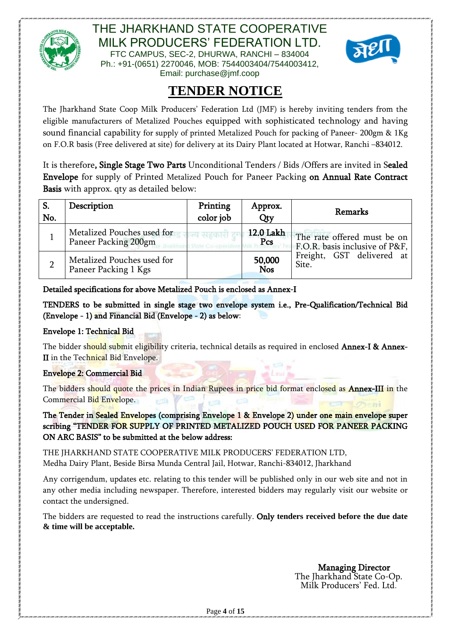



Email: purchase@jmf.coop

# **TENDER NOTICE**

The Jharkhand State Coop Milk Producers' Federation Ltd (JMF) is hereby inviting tenders from the eligible manufacturers of Metalized Pouches equipped with sophisticated technology and having sound financial capability for supply of printed Metalized Pouch for packing of Paneer- 200gm & 1Kg on F.O.R basis (Free delivered at site) for delivery at its Dairy Plant located at Hotwar, Ranchi –834012.

It is therefore, Single Stage Two Parts Unconditional Tenders / Bids /Offers are invited in Sealed Envelope for supply of Printed Metalized Pouch for Paneer Packing on Annual Rate Contract Basis with approx. qty as detailed below:

| S.<br>No. | Description                                        | Printing<br>color job | Approx.<br>Qty       | Remarks                                                       |
|-----------|----------------------------------------------------|-----------------------|----------------------|---------------------------------------------------------------|
|           | Metalized Pouches used for<br>Paneer Packing 200gm |                       | 12.0 Lakh<br>Pcs     | The rate offered must be on<br>F.O.R. basis inclusive of P&F, |
|           | Metalized Pouches used for<br>Paneer Packing 1 Kgs |                       | 50,000<br><b>Nos</b> | Freight, GST delivered at<br>Site.                            |

Detailed specifications for above Metalized Pouch is enclosed as Annex-I

TENDERS to be submitted in single stage two envelope system i.e., Pre-Qualification/Technical Bid (Envelope - 1) and Financial Bid (Envelope - 2) as below:

#### Envelope 1: Technical Bid

The bidder should submit eligibility criteria, technical details as required in enclosed **Annex-I & Annex-**II in the Technical Bid Envelope.

#### Envelope 2: Commercial Bid

The bidders should quote the prices in Indian Rupees in price bid format enclosed as **Annex-III** in the Commercial Bid Envelope.

The Tender in Sealed Envelopes (comprising Envelope 1 & Envelope 2) under one main envelope super scribing "TENDER FOR SUPPLY OF PRINTED METALIZED POUCH USED FOR PANEER PACKING ON ARC BASIS" to be submitted at the below address:

THE JHARKHAND STATE COOPERATIVE MILK PRODUCERS' FEDERATION LTD, Medha Dairy Plant, Beside Birsa Munda Central Jail, Hotwar, Ranchi-834012, Jharkhand

Any corrigendum, updates etc. relating to this tender will be published only in our web site and not in any other media including newspaper. Therefore, interested bidders may regularly visit our website or contact the undersigned.

The bidders are requested to read the instructions carefully. Only **tenders received before the due date & time will be acceptable.**

> Managing Director The Jharkhand State Co-Op. Milk Producers' Fed. Ltd.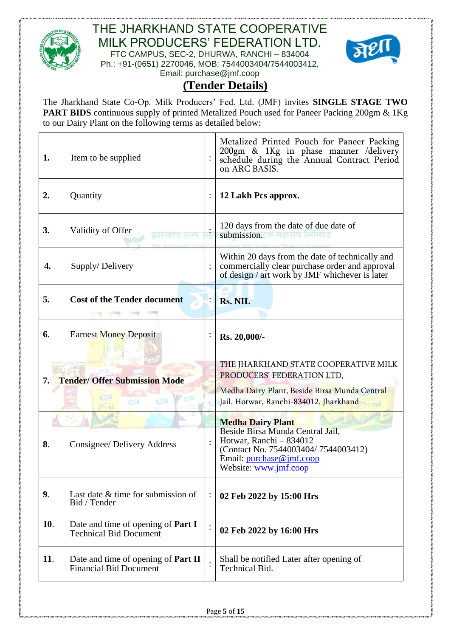



Email: purchase@jmf.coop

# **(Tender Details)**

The Jharkhand State Co-Op. Milk Producers' Fed. Ltd. (JMF) invites **SINGLE STAGE TWO PART BIDS** continuous supply of printed Metalized Pouch used for Paneer Packing 200gm & 1Kg to our Dairy Plant on the following terms as detailed below:

| 1.   | Item to be supplied                                                         |                | Metalized Printed Pouch for Paneer Packing<br>200gm & 1Kg in phase manner /delivery<br>schedule during the Annual Contract Period<br>on ARC BASIS.                                  |  |  |
|------|-----------------------------------------------------------------------------|----------------|-------------------------------------------------------------------------------------------------------------------------------------------------------------------------------------|--|--|
| 2.   | Quantity                                                                    |                | 12 Lakh Pcs approx.                                                                                                                                                                 |  |  |
| 3.   | Validity of Offer<br>ਮਾਰਚ ਦਾਰਫ                                              |                | 120 days from the date of due date of<br>submission.                                                                                                                                |  |  |
| 4.   | Supply/Delivery                                                             |                | Within 20 days from the date of technically and<br>commercially clear purchase order and approval<br>of design / art work by JMF whichever is later                                 |  |  |
| 5.   | <b>Cost of the Tender document</b>                                          |                | <b>Rs. NIL</b>                                                                                                                                                                      |  |  |
| 6.   | <b>Earnest Money Deposit</b>                                                |                | Rs. 20,000/-                                                                                                                                                                        |  |  |
| 7. . | <b>Tender/ Offer Submission Mode</b><br>554                                 |                | THE JHARKHAND STATE COOPERATIVE MILK<br>PRODUCERS' FEDERATION LTD,<br>Medha Dairy Plant, Beside Birsa Munda Central<br>Jail, Hotwar, Ranchi-834012, Jharkhand                       |  |  |
| 8.   | Consignee/ Delivery Address                                                 |                | <b>Medha Dairy Plant</b><br>Beside Birsa Munda Central Jail,<br>Hotwar, Ranchi - 834012<br>(Contact No. 7544003404/7544003412)<br>Email: purchase@jmf.coop<br>Website: www.jmf.coop |  |  |
| 9.   | Last date & time for submission of<br>Bid / Tender                          | $\ddot{\cdot}$ | 02 Feb 2022 by 15:00 Hrs                                                                                                                                                            |  |  |
| 10.  | Date and time of opening of <b>Part I</b><br><b>Technical Bid Document</b>  |                | 02 Feb 2022 by 16:00 Hrs                                                                                                                                                            |  |  |
| 11.  | Date and time of opening of <b>Part II</b><br><b>Financial Bid Document</b> |                | Shall be notified Later after opening of<br>Technical Bid.                                                                                                                          |  |  |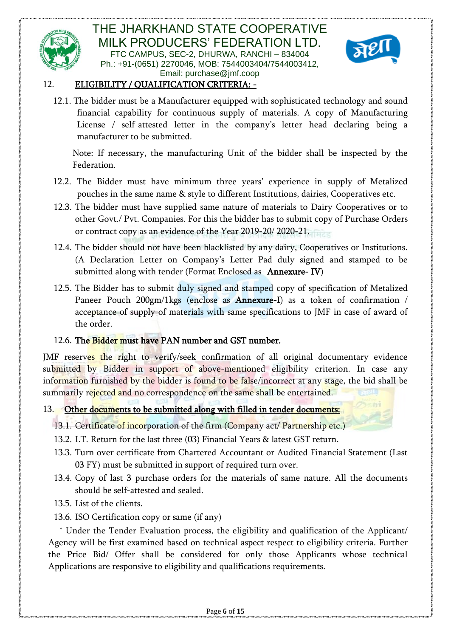



#### 12. ELIGIBILITY / QUALIFICATION CRITERIA: -

12.1. The bidder must be a Manufacturer equipped with sophisticated technology and sound financial capability for continuous supply of materials. A copy of Manufacturing License / self-attested letter in the company's letter head declaring being a manufacturer to be submitted.

Note: If necessary, the manufacturing Unit of the bidder shall be inspected by the Federation.

- 12.2. The Bidder must have minimum three years' experience in supply of Metalized pouches in the same name & style to different Institutions, dairies, Cooperatives etc.
- 12.3. The bidder must have supplied same nature of materials to Dairy Cooperatives or to other Govt./ Pvt. Companies. For this the bidder has to submit copy of Purchase Orders or contract copy as an evidence of the Year 2019-20/ 2020-21.
- 12.4. The bidder should not have been blacklisted by any dairy, Cooperatives or Institutions. (A Declaration Letter on Company's Letter Pad duly signed and stamped to be submitted along with tender (Format Enclosed as- Annexure- IV)
- 12.5. The Bidder has to submit duly signed and stamped copy of specification of Metalized Paneer Pouch 200gm/1kgs (enclose as Annexure-I) as a token of confirmation / acceptance of supply of materials with same specifications to JMF in case of award of the order.

#### 12.6. The Bidder must have PAN number and GST number.

JMF reserves the right to verify/seek confirmation of all original documentary evidence submitted by Bidder in support of above-mentioned eligibility criterion. In case any information furnished by the bidder is found to be false/incorrect at any stage, the bid shall be summarily rejected and no correspondence on the same shall be entertained.

#### 13. Other documents to be submitted along with filled in tender documents:

- 13.1. Certificate of incorporation of the firm (Company act/ Partnership etc.)
- 13.2. I.T. Return for the last three (03) Financial Years & latest GST return.
- 13.3. Turn over certificate from Chartered Accountant or Audited Financial Statement (Last 03 FY) must be submitted in support of required turn over.
- 13.4. Copy of last 3 purchase orders for the materials of same nature. All the documents should be self-attested and sealed.
- 13.5. List of the clients.
- 13.6. ISO Certification copy or same (if any)

 \* Under the Tender Evaluation process, the eligibility and qualification of the Applicant/ Agency will be first examined based on technical aspect respect to eligibility criteria. Further the Price Bid/ Offer shall be considered for only those Applicants whose technical Applications are responsive to eligibility and qualifications requirements.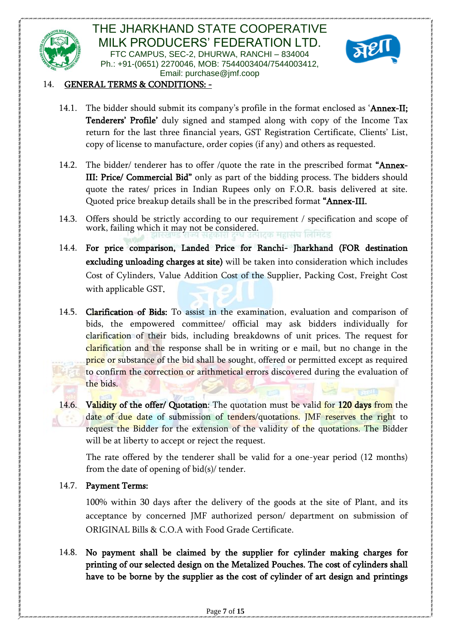



#### 14. GENERAL TERMS & CONDITIONS: -

- 14.1. The bidder should submit its company's profile in the format enclosed as 'Annex-II; Tenderers' Profile' duly signed and stamped along with copy of the Income Tax return for the last three financial years, GST Registration Certificate, Clients' List, copy of license to manufacture, order copies (if any) and others as requested.
- 14.2. The bidder/ tenderer has to offer /quote the rate in the prescribed format "Annex-III: Price/ Commercial Bid" only as part of the bidding process. The bidders should quote the rates/ prices in Indian Rupees only on F.O.R. basis delivered at site. Quoted price breakup details shall be in the prescribed format "Annex-III.
- 14.3. Offers should be strictly according to our requirement / specification and scope of work, failing which it may not be considered. ६ महासंघ लिमिटेड
- 14.4. For price comparison, Landed Price for Ranchi- Jharkhand (FOR destination excluding unloading charges at site) will be taken into consideration which includes Cost of Cylinders, Value Addition Cost of the Supplier, Packing Cost, Freight Cost with applicable GST.
- 14.5. Clarification of Bids: To assist in the examination, evaluation and comparison of bids, the empowered committee/ official may ask bidders individually for clarification of their bids, including breakdowns of unit prices. The request for clarification and the response shall be in writing or e mail, but no change in the price or substance of the bid shall be sought, offered or permitted except as required to confirm the correction or arithmetical errors discovered during the evaluation of the bids.
- 14.6. Validity of the offer/ Quotation: The quotation must be valid for 120 days from the date of due date of submission of tenders/quotations. JMF reserves the right to request the Bidder for the extension of the validity of the quotations. The Bidder will be at liberty to accept or reject the request.

The rate offered by the tenderer shall be valid for a one-year period (12 months) from the date of opening of bid(s)/ tender.

#### 14.7. Payment Terms:

100% within 30 days after the delivery of the goods at the site of Plant, and its acceptance by concerned JMF authorized person/ department on submission of ORIGINAL Bills & C.O.A with Food Grade Certificate.

14.8. No payment shall be claimed by the supplier for cylinder making charges for printing of our selected design on the Metalized Pouches. The cost of cylinders shall have to be borne by the supplier as the cost of cylinder of art design and printings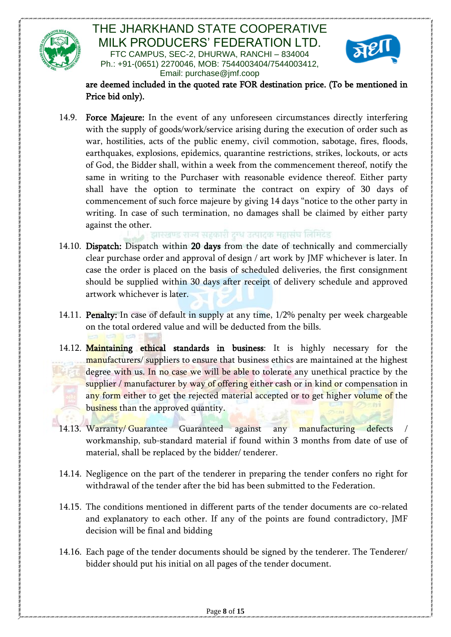



are deemed included in the quoted rate FOR destination price. (To be mentioned in Price bid only).

14.9. Force Majeure: In the event of any unforeseen circumstances directly interfering with the supply of goods/work/service arising during the execution of order such as war, hostilities, acts of the public enemy, civil commotion, sabotage, fires, floods, earthquakes, explosions, epidemics, quarantine restrictions, strikes, lockouts, or acts of God, the Bidder shall, within a week from the commencement thereof, notify the same in writing to the Purchaser with reasonable evidence thereof. Either party shall have the option to terminate the contract on expiry of 30 days of commencement of such force majeure by giving 14 days "notice to the other party in writing. In case of such termination, no damages shall be claimed by either party against the other.<br>बारखण्ड राज्य सहकारी दग्ध उत्पादक महासंघ लिमिटेड

- 14.10. Dispatch: Dispatch within 20 days from the date of technically and commercially clear purchase order and approval of design / art work by JMF whichever is later. In case the order is placed on the basis of scheduled deliveries, the first consignment should be supplied within 30 days after receipt of delivery schedule and approved artwork whichever is later.
- 14.11. **Penalty:** In case of default in supply at any time, 1/2% penalty per week chargeable on the total ordered value and will be deducted from the bills.
- 14.12. Maintaining ethical standards in business: It is highly necessary for the manufacturers/ suppliers to ensure that business ethics are maintained at the highest degree with us. In no case we will be able to tolerate any unethical practice by the supplier / manufacturer by way of offering either cash or in kind or compensation in any form either to get the rejected material accepted or to get higher volume of the business than the approved quantity.
- 14.13. Warranty/ Guarantee Guaranteed against any manufacturing defects workmanship, sub-standard material if found within 3 months from date of use of material, shall be replaced by the bidder/ tenderer.
- 14.14. Negligence on the part of the tenderer in preparing the tender confers no right for withdrawal of the tender after the bid has been submitted to the Federation.
- 14.15. The conditions mentioned in different parts of the tender documents are co-related and explanatory to each other. If any of the points are found contradictory, JMF decision will be final and bidding
- 14.16. Each page of the tender documents should be signed by the tenderer. The Tenderer/ bidder should put his initial on all pages of the tender document.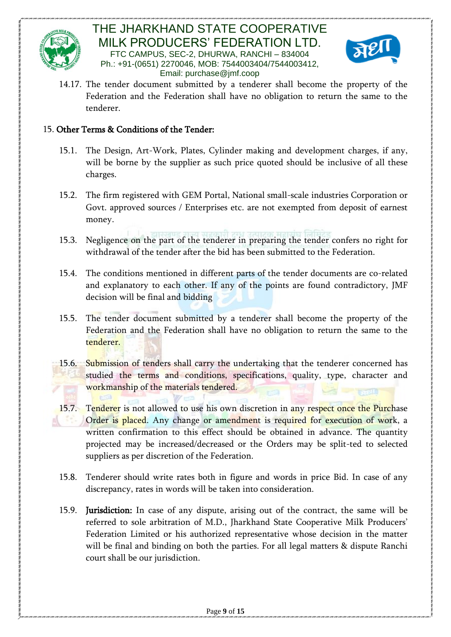



14.17. The tender document submitted by a tenderer shall become the property of the Federation and the Federation shall have no obligation to return the same to the tenderer.

#### 15. Other Terms & Conditions of the Tender:

- 15.1. The Design, Art-Work, Plates, Cylinder making and development charges, if any, will be borne by the supplier as such price quoted should be inclusive of all these charges.
- 15.2. The firm registered with GEM Portal, National small-scale industries Corporation or Govt. approved sources / Enterprises etc. are not exempted from deposit of earnest money.
- 15.3. Negligence on the part of the tenderer in preparing the tender confers no right for withdrawal of the tender after the bid has been submitted to the Federation.
- 15.4. The conditions mentioned in different parts of the tender documents are co-related and explanatory to each other. If any of the points are found contradictory, JMF decision will be final and bidding
- 15.5. The tender document submitted by a tenderer shall become the property of the Federation and the Federation shall have no obligation to return the same to the tenderer.
- 15.6. Submission of tenders shall carry the undertaking that the tenderer concerned has studied the terms and conditions, specifications, quality, type, character and workmanship of the materials tendered.
- 15.7. Tenderer is not allowed to use his own discretion in any respect once the Purchase Order is placed. Any change or amendment is required for execution of work, a written confirmation to this effect should be obtained in advance. The quantity projected may be increased/decreased or the Orders may be split-ted to selected suppliers as per discretion of the Federation.
- 15.8. Tenderer should write rates both in figure and words in price Bid. In case of any discrepancy, rates in words will be taken into consideration.
- 15.9. Jurisdiction: In case of any dispute, arising out of the contract, the same will be referred to sole arbitration of M.D., Jharkhand State Cooperative Milk Producers' Federation Limited or his authorized representative whose decision in the matter will be final and binding on both the parties. For all legal matters & dispute Ranchi court shall be our jurisdiction.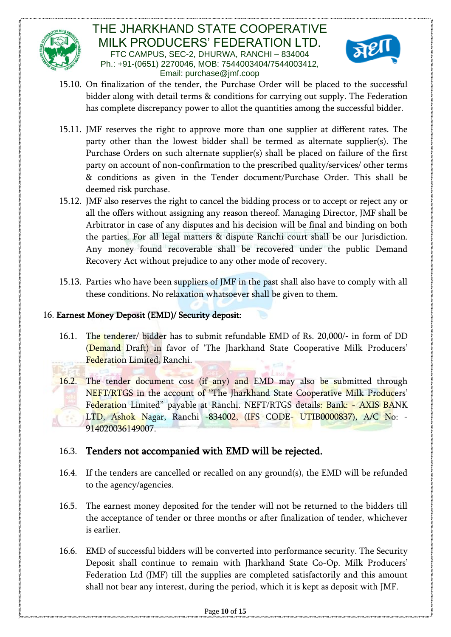



- 15.10. On finalization of the tender, the Purchase Order will be placed to the successful bidder along with detail terms & conditions for carrying out supply. The Federation has complete discrepancy power to allot the quantities among the successful bidder.
- 15.11. JMF reserves the right to approve more than one supplier at different rates. The party other than the lowest bidder shall be termed as alternate supplier(s). The Purchase Orders on such alternate supplier(s) shall be placed on failure of the first party on account of non-confirmation to the prescribed quality/services/ other terms & conditions as given in the Tender document/Purchase Order. This shall be deemed risk purchase.
- 15.12. JMF also reserves the right to cancel the bidding process or to accept or reject any or all the offers without assigning any reason thereof. Managing Director, JMF shall be Arbitrator in case of any disputes and his decision will be final and binding on both the parties. For all legal matters & dispute Ranchi court shall be our Jurisdiction. Any money found recoverable shall be recovered under the public Demand Recovery Act without prejudice to any other mode of recovery.
- 15.13. Parties who have been suppliers of JMF in the past shall also have to comply with all these conditions. No relaxation whatsoever shall be given to them.

#### 16. Earnest Money Deposit (EMD)/ Security deposit:

- 16.1. The tenderer/ bidder has to submit refundable EMD of Rs. 20,000/- in form of DD (Demand Draft) in favor of 'The Jharkhand State Cooperative Milk Producers' Federation Limited, Ranchi.
- 16.2. The tender document cost (if any) and EMD may also be submitted through NEFT/RTGS in the account of "The Jharkhand State Cooperative Milk Producers' Federation Limited" payable at Ranchi. NEFT/RTGS details: Bank: - AXIS BANK LTD, Ashok Nagar, Ranchi -834002, (IFS CODE- UTIB0000837), A/C No: -914020036149007.

## 16.3. Tenders not accompanied with EMD will be rejected.

- 16.4. If the tenders are cancelled or recalled on any ground(s), the EMD will be refunded to the agency/agencies.
- 16.5. The earnest money deposited for the tender will not be returned to the bidders till the acceptance of tender or three months or after finalization of tender, whichever is earlier.
- 16.6. EMD of successful bidders will be converted into performance security. The Security Deposit shall continue to remain with Jharkhand State Co-Op. Milk Producers' Federation Ltd (JMF) till the supplies are completed satisfactorily and this amount shall not bear any interest, during the period, which it is kept as deposit with JMF.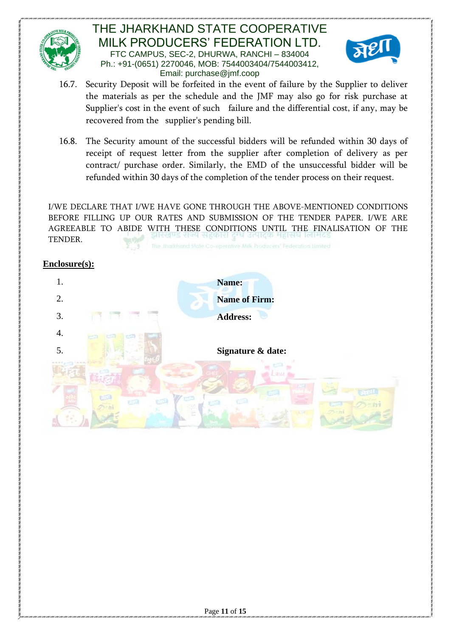



- 16.7. Security Deposit will be forfeited in the event of failure by the Supplier to deliver the materials as per the schedule and the JMF may also go for risk purchase at Supplier's cost in the event of such failure and the differential cost, if any, may be recovered from the supplier's pending bill.
- 16.8. The Security amount of the successful bidders will be refunded within 30 days of receipt of request letter from the supplier after completion of delivery as per contract/ purchase order. Similarly, the EMD of the unsuccessful bidder will be refunded within 30 days of the completion of the tender process on their request.

I/WE DECLARE THAT I/WE HAVE GONE THROUGH THE ABOVE-MENTIONED CONDITIONS BEFORE FILLING UP OUR RATES AND SUBMISSION OF THE TENDER PAPER. I/WE ARE AGREEABLE TO ABIDE WITH THESE CONDITIONS UNTIL THE FINALISATION OF THE TENDER.

#### **Enclosure(s):**

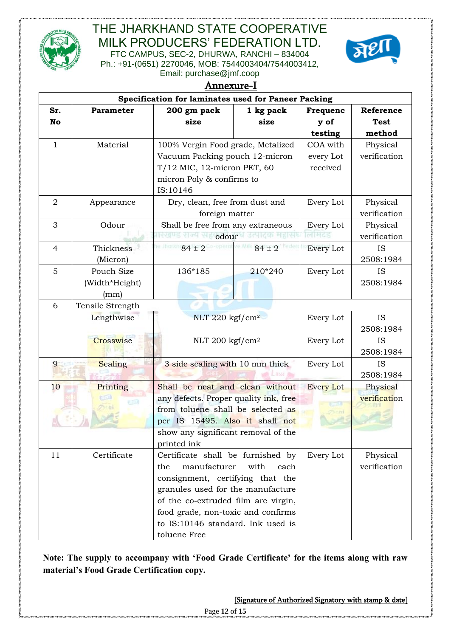

# THE JHARKHAND STATE COOPERATIVE MILK PRODUCERS' FEDERATION LTD.

FTC CAMPUS, SEC-2, DHURWA, RANCHI – 834004 Ph.: +91-(0651) 2270046, MOB: 7544003404/7544003412, Email: purchase@jmf.coop



|                | Annexure-I       |                                                                            |                                     |                  |              |  |  |  |
|----------------|------------------|----------------------------------------------------------------------------|-------------------------------------|------------------|--------------|--|--|--|
|                |                  | Specification for laminates used for Paneer Packing                        |                                     |                  |              |  |  |  |
| Sr.            | Parameter        | 200 gm pack                                                                | 1 kg pack                           | Frequenc         | Reference    |  |  |  |
| No             |                  | size                                                                       | size                                | y of             | <b>Test</b>  |  |  |  |
|                |                  |                                                                            |                                     | testing          | method       |  |  |  |
| $\mathbf{1}$   | Material         | 100% Vergin Food grade, Metalized                                          |                                     | COA with         | Physical     |  |  |  |
|                |                  | Vacuum Packing pouch 12-micron                                             |                                     | every Lot        | verification |  |  |  |
|                |                  | T/12 MIC, 12-micron PET, 60                                                |                                     | received         |              |  |  |  |
|                |                  | micron Poly & confirms to                                                  |                                     |                  |              |  |  |  |
|                |                  | IS:10146                                                                   |                                     |                  |              |  |  |  |
| $\overline{2}$ | Appearance       | Dry, clean, free from dust and                                             |                                     | Every Lot        | Physical     |  |  |  |
|                |                  | foreign matter                                                             |                                     |                  | verification |  |  |  |
| 3              | Odour            | Shall be free from any extraneous                                          |                                     | Every Lot        | Physical     |  |  |  |
|                |                  | legus del Halodour Bruke Hale                                              |                                     | लम्दड            | verification |  |  |  |
| $\overline{4}$ | <b>Thickness</b> | $84 \pm 2$                                                                 | $84 \pm 2$                          | Every Lot        | <b>IS</b>    |  |  |  |
|                | (Micron)         |                                                                            |                                     |                  | 2508:1984    |  |  |  |
| 5              | Pouch Size       | 136*185                                                                    | 210*240                             | Every Lot        | <b>IS</b>    |  |  |  |
|                | (Width*Height)   |                                                                            |                                     |                  | 2508:1984    |  |  |  |
|                | (mm)             |                                                                            |                                     |                  |              |  |  |  |
| 6              | Tensile Strength |                                                                            |                                     |                  |              |  |  |  |
|                | Lengthwise       | NLT 220 kgf/cm <sup>2</sup>                                                |                                     | Every Lot        | <b>IS</b>    |  |  |  |
|                |                  |                                                                            |                                     | Every Lot        | 2508:1984    |  |  |  |
|                | Crosswise        |                                                                            | NLT 200 kgf/cm <sup>2</sup>         |                  | <b>IS</b>    |  |  |  |
|                |                  |                                                                            |                                     | Every Lot        | 2508:1984    |  |  |  |
| 9              | Sealing          |                                                                            | 3 side sealing with 10 mm thick     |                  | <b>IS</b>    |  |  |  |
|                |                  |                                                                            |                                     |                  | 2508:1984    |  |  |  |
| 10             | Printing         | Shall be neat and clean without                                            |                                     | <b>Every Lot</b> | Physical     |  |  |  |
|                |                  | any defects. Proper quality ink, free<br>from toluene shall be selected as |                                     |                  | verification |  |  |  |
|                |                  | per IS 15495. Also it shall not                                            |                                     |                  |              |  |  |  |
|                |                  | show any significant removal of the                                        |                                     |                  |              |  |  |  |
|                |                  | printed ink                                                                |                                     |                  |              |  |  |  |
| 11             | Certificate      | Certificate shall be furnished by                                          |                                     | Every Lot        | Physical     |  |  |  |
|                |                  | manufacturer<br>the                                                        | with<br>each                        |                  | verification |  |  |  |
|                |                  | consignment, certifying that the                                           |                                     |                  |              |  |  |  |
|                |                  | granules used for the manufacture                                          |                                     |                  |              |  |  |  |
|                |                  |                                                                            | of the co-extruded film are virgin, |                  |              |  |  |  |
|                |                  | food grade, non-toxic and confirms                                         |                                     |                  |              |  |  |  |
|                |                  | to IS:10146 standard. Ink used is                                          |                                     |                  |              |  |  |  |
|                |                  | toluene Free                                                               |                                     |                  |              |  |  |  |

**Note: The supply to accompany with 'Food Grade Certificate' for the items along with raw material's Food Grade Certification copy.**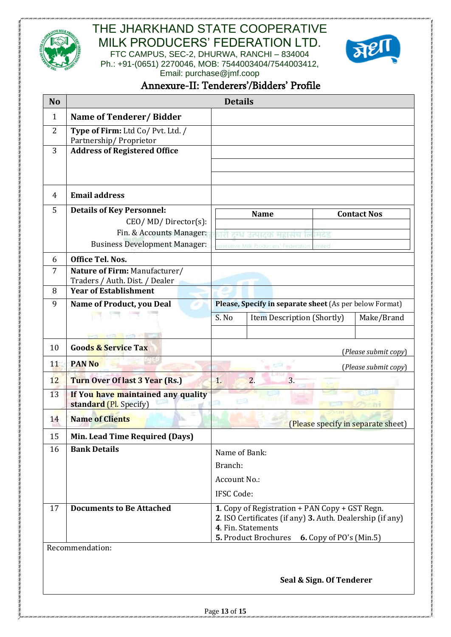



Email: purchase@jmf.coop

# Annexure-II: Tenderers'/Bidders' Profile

| <b>No</b>      |                                                                  |  | <b>Details</b>                                 |                                                                                 |                          |                                    |
|----------------|------------------------------------------------------------------|--|------------------------------------------------|---------------------------------------------------------------------------------|--------------------------|------------------------------------|
| $\mathbf{1}$   | Name of Tenderer/Bidder                                          |  |                                                |                                                                                 |                          |                                    |
| $\overline{2}$ | Type of Firm: Ltd Co/ Pvt. Ltd. /<br>Partnership/Proprietor      |  |                                                |                                                                                 |                          |                                    |
| 3              | <b>Address of Registered Office</b>                              |  |                                                |                                                                                 |                          |                                    |
|                |                                                                  |  |                                                |                                                                                 |                          |                                    |
|                |                                                                  |  |                                                |                                                                                 |                          |                                    |
| 4              | <b>Email address</b>                                             |  |                                                |                                                                                 |                          |                                    |
| 5              | <b>Details of Key Personnel:</b>                                 |  |                                                | <b>Name</b>                                                                     |                          | <b>Contact Nos</b>                 |
|                | CEO/MD/Director(s):                                              |  |                                                |                                                                                 |                          |                                    |
|                | Fin. & Accounts Manager:<br><b>Business Development Manager:</b> |  |                                                | उत्पाटक महावा<br>sperative Milk Producers' Federation                           | Imited                   |                                    |
| 6              | <b>Office Tel. Nos.</b>                                          |  |                                                |                                                                                 |                          |                                    |
| $\overline{7}$ | Nature of Firm: Manufacturer/                                    |  |                                                |                                                                                 |                          |                                    |
|                | Traders / Auth. Dist. / Dealer                                   |  |                                                |                                                                                 |                          |                                    |
| 8              | <b>Year of Establishment</b>                                     |  |                                                |                                                                                 |                          |                                    |
| 9              | Name of Product, you Deal                                        |  |                                                | Please, Specify in separate sheet (As per below Format)                         |                          |                                    |
|                |                                                                  |  | S. No                                          | Item Description (Shortly)                                                      |                          | Make/Brand                         |
|                | <b>INSTERNOON</b>                                                |  |                                                |                                                                                 |                          |                                    |
| 10             | <b>Goods &amp; Service Tax</b>                                   |  |                                                |                                                                                 |                          | (Please submit copy)               |
| 11             | <b>PAN No</b>                                                    |  |                                                |                                                                                 |                          | (Please submit copy)               |
| 12             | Turn Over Of last 3 Year (Rs.)                                   |  | $\overline{1}$ .                               | $\overline{2}$ .<br>3.                                                          |                          |                                    |
| 13             | If You have maintained any quality<br>standard (Pl. Specify)     |  | fB.                                            |                                                                                 |                          |                                    |
| 14             | <b>Name of Clients</b>                                           |  |                                                |                                                                                 |                          | (Please specify in separate sheet) |
| 15             | Min. Lead Time Required (Days)                                   |  |                                                |                                                                                 |                          |                                    |
| 16             | <b>Bank Details</b>                                              |  | Name of Bank:                                  |                                                                                 |                          |                                    |
|                |                                                                  |  | Branch:                                        |                                                                                 |                          |                                    |
|                |                                                                  |  | Account No.:                                   |                                                                                 |                          |                                    |
|                |                                                                  |  | <b>IFSC Code:</b>                              |                                                                                 |                          |                                    |
| 17             | <b>Documents to Be Attached</b>                                  |  | 1. Copy of Registration + PAN Copy + GST Regn. |                                                                                 |                          |                                    |
|                |                                                                  |  |                                                | 2. ISO Certificates (if any) 3. Auth. Dealership (if any)<br>4. Fin. Statements |                          |                                    |
|                |                                                                  |  |                                                | 5. Product Brochures                                                            | 6. Copy of PO's (Min.5)  |                                    |
|                | Recommendation:                                                  |  |                                                |                                                                                 |                          |                                    |
|                |                                                                  |  |                                                |                                                                                 |                          |                                    |
|                |                                                                  |  |                                                |                                                                                 | Seal & Sign. Of Tenderer |                                    |
|                |                                                                  |  |                                                |                                                                                 |                          |                                    |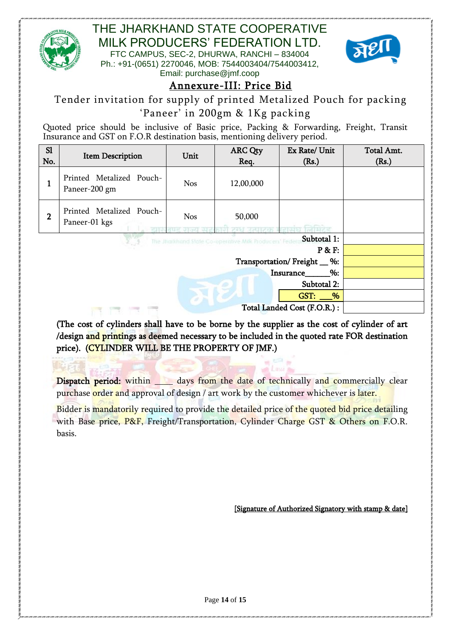

# THE JHARKHAND STATE COOPERATIVE MILK PRODUCERS' FEDERATION LTD.

FTC CAMPUS, SEC-2, DHURWA, RANCHI – 834004 Ph.: +91-(0651) 2270046, MOB: 7544003404/7544003412, Email: purchase@jmf.coop



# Annexure-III: Price Bid

Tender invitation for supply of printed Metalized Pouch for packing

## 'Paneer' in 200gm & 1Kg packing

Quoted price should be inclusive of Basic price, Packing & Forwarding, Freight, Transit Insurance and GST on F.O.R destination basis, mentioning delivery period.

| S1<br>No.      | <b>Item Description</b>                              | Unit       | <b>ARC Qty</b><br>Req. | Ex Rate/ Unit<br>(Rs.)       | Total Amt.<br>(Rs.) |
|----------------|------------------------------------------------------|------------|------------------------|------------------------------|---------------------|
| 1              | Printed Metalized Pouch-<br>Paneer-200 gm            | <b>Nos</b> | 12,00,000              |                              |                     |
| $\overline{2}$ | Printed Metalized Pouch-<br>Paneer-01 kgs            | <b>Nos</b> | 50,000                 |                              |                     |
|                | The Jilarkhand State Co-operative Milk Producers' Fe |            |                        |                              |                     |
|                |                                                      |            |                        | P & F:                       |                     |
|                |                                                      |            |                        | Transportation/Freight __ %: |                     |
|                |                                                      |            |                        | $\%:$<br>Insurance           |                     |
|                |                                                      |            |                        |                              |                     |
|                |                                                      |            |                        | $GST:$ %                     |                     |
|                |                                                      |            |                        |                              |                     |

(The cost of cylinders shall have to be borne by the supplier as the cost of cylinder of art /design and printings as deemed necessary to be included in the quoted rate FOR destination price). (CYLINDER WILL BE THE PROPERTY OF JMF.)

Dispatch period: within days from the date of technically and commercially clear purchase order and approval of design / art work by the customer whichever is later.

Bidder is mandatorily required to provide the detailed price of the quoted bid price detailing with Base price, P&F, Freight/Transportation, Cylinder Charge GST & Others on F.O.R. basis.

[Signature of Authorized Signatory with stamp & date]